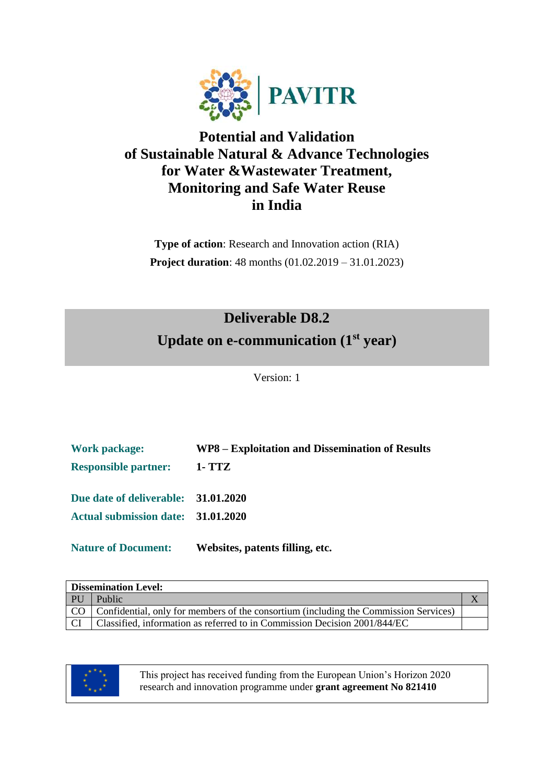

### **Potential and Validation of Sustainable Natural & Advance Technologies for Water &Wastewater Treatment, Monitoring and Safe Water Reuse in India**

**Type of action**: Research and Innovation action (RIA) **Project duration**: 48 months (01.02.2019 – 31.01.2023)

# **Deliverable D8.2 Update on e-communication (1st year)**

Version: 1

| <b>Work package:</b>                | WP8 – Exploitation and Dissemination of Results |
|-------------------------------------|-------------------------------------------------|
| <b>Responsible partner:</b>         | 1- TTZ                                          |
| Due date of deliverable: 31.01.2020 |                                                 |
| Actual submission date: 31.01.2020  |                                                 |
| <b>Nature of Document:</b>          | Websites, patents filling, etc.                 |

| <b>Dissemination Level:</b> |                                                                                           |  |  |  |  |
|-----------------------------|-------------------------------------------------------------------------------------------|--|--|--|--|
| PU                          | Public                                                                                    |  |  |  |  |
|                             | CO   Confidential, only for members of the consortium (including the Commission Services) |  |  |  |  |
| CI.                         | Classified, information as referred to in Commission Decision 2001/844/EC                 |  |  |  |  |



This project has received funding from the European Union's Horizon 2020 research and innovation programme under **grant agreement No 821410**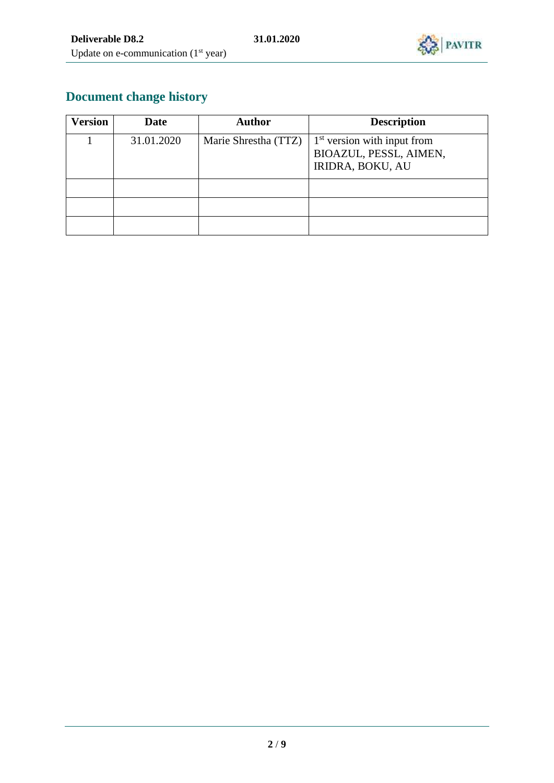

# **Document change history**

| <b>Version</b> | <b>Date</b> | <b>Author</b>        | <b>Description</b>                                                                 |
|----------------|-------------|----------------------|------------------------------------------------------------------------------------|
|                | 31.01.2020  | Marie Shrestha (TTZ) | $1st$ version with input from<br>BIOAZUL, PESSL, AIMEN,<br><b>IRIDRA, BOKU, AU</b> |
|                |             |                      |                                                                                    |
|                |             |                      |                                                                                    |
|                |             |                      |                                                                                    |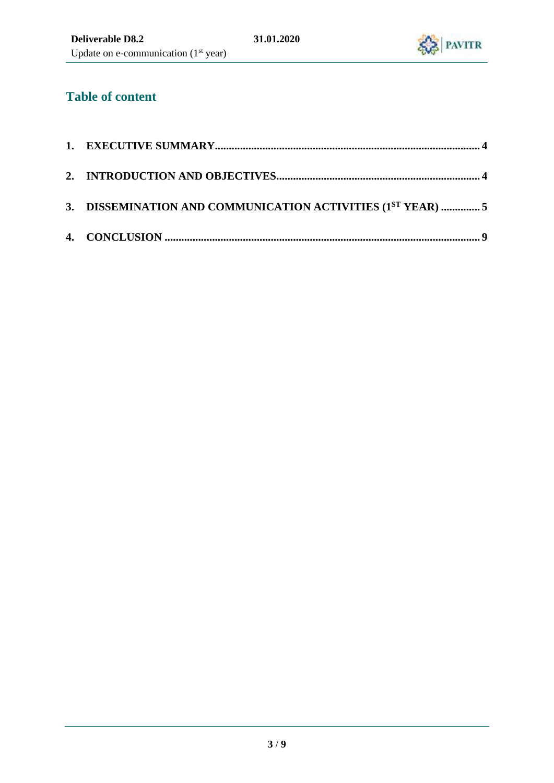

### **Table of content**

| 3. DISSEMINATION AND COMMUNICATION ACTIVITIES (1ST YEAR)  5 |  |
|-------------------------------------------------------------|--|
|                                                             |  |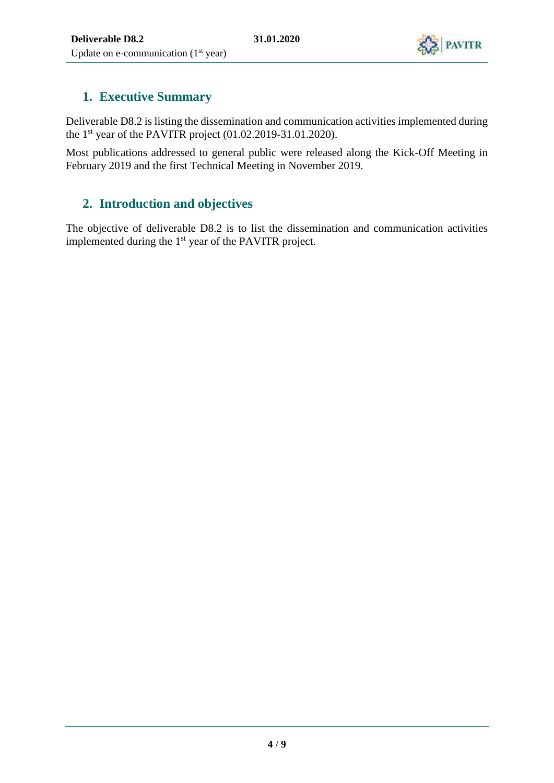

#### <span id="page-3-0"></span>**1. Executive Summary**

Deliverable D8.2 is listing the dissemination and communication activities implemented during the  $1<sup>st</sup>$  year of the PAVITR project (01.02.2019-31.01.2020).

Most publications addressed to general public were released along the Kick-Off Meeting in February 2019 and the first Technical Meeting in November 2019.

#### <span id="page-3-1"></span>**2. Introduction and objectives**

The objective of deliverable D8.2 is to list the dissemination and communication activities implemented during the 1st year of the PAVITR project.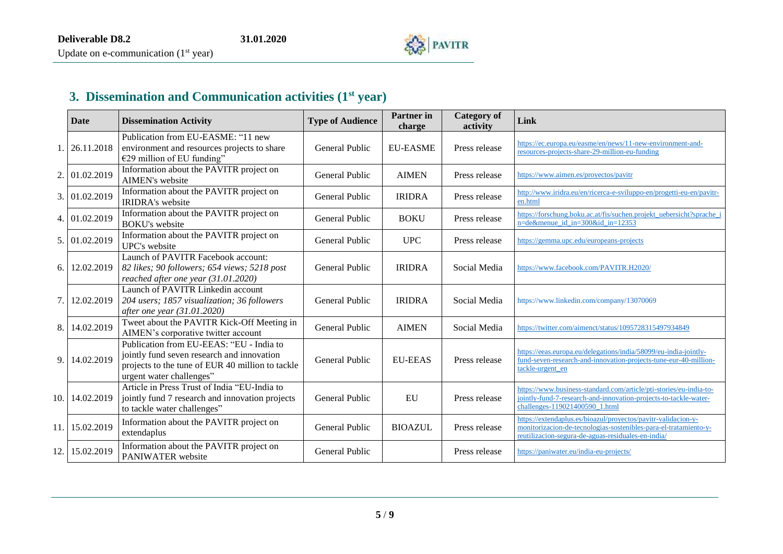

# **3. Dissemination and Communication activities (1st year)**

<span id="page-4-0"></span>

|     | <b>Date</b> | <b>Dissemination Activity</b>                                                                                                                                          | <b>Type of Audience</b> | <b>Partner</b> in<br>charge | <b>Category of</b><br>activity | Link                                                                                                                                                                                    |
|-----|-------------|------------------------------------------------------------------------------------------------------------------------------------------------------------------------|-------------------------|-----------------------------|--------------------------------|-----------------------------------------------------------------------------------------------------------------------------------------------------------------------------------------|
|     | 26.11.2018  | Publication from EU-EASME: "11 new<br>environment and resources projects to share<br>€29 million of EU funding"                                                        | General Public          | <b>EU-EASME</b>             | Press release                  | https://ec.europa.eu/easme/en/news/11-new-environment-and-<br>resources-projects-share-29-million-eu-funding                                                                            |
| 2.  | 01.02.2019  | Information about the PAVITR project on<br>AIMEN's website                                                                                                             | General Public          | <b>AIMEN</b>                | Press release                  | https://www.aimen.es/proyectos/pavitr                                                                                                                                                   |
| 3.  | 01.02.2019  | Information about the PAVITR project on<br><b>IRIDRA's website</b>                                                                                                     | General Public          | <b>IRIDRA</b>               | Press release                  | http://www.iridra.eu/en/ricerca-e-sviluppo-en/progetti-eu-en/pavitr-<br>en.html                                                                                                         |
| 4.  | 01.02.2019  | Information about the PAVITR project on<br><b>BOKU's website</b>                                                                                                       | General Public          | <b>BOKU</b>                 | Press release                  | https://forschung.boku.ac.at/fis/suchen.projekt_uebersicht?sprache_i<br>n=de&menue_id_in=300&id_in=12353                                                                                |
| 5.  | 01.02.2019  | Information about the PAVITR project on<br>UPC's website                                                                                                               | General Public          | <b>UPC</b>                  | Press release                  | https://gemma.upc.edu/europeans-projects                                                                                                                                                |
| 6.  | 12.02.2019  | Launch of PAVITR Facebook account:<br>82 likes; 90 followers; 654 views; 5218 post<br>reached after one year (31.01.2020)                                              | General Public          | <b>IRIDRA</b>               | Social Media                   | https://www.facebook.com/PAVITR.H2020/                                                                                                                                                  |
| 7.  | 12.02.2019  | Launch of PAVITR Linkedin account<br>204 users; 1857 visualization; 36 followers<br>after one year (31.01.2020)                                                        | General Public          | <b>IRIDRA</b>               | Social Media                   | https://www.linkedin.com/company/13070069                                                                                                                                               |
| 8.  | 14.02.2019  | Tweet about the PAVITR Kick-Off Meeting in<br>AIMEN's corporative twitter account                                                                                      | General Public          | <b>AIMEN</b>                | Social Media                   | https://twitter.com/aimenct/status/1095728315497934849                                                                                                                                  |
| 9.  | 14.02.2019  | Publication from EU-EEAS: "EU - India to<br>jointly fund seven research and innovation<br>projects to the tune of EUR 40 million to tackle<br>urgent water challenges" | General Public          | <b>EU-EEAS</b>              | Press release                  | https://eeas.europa.eu/delegations/india/58099/eu-india-jointly-<br>fund-seven-research-and-innovation-projects-tune-eur-40-million-<br>tackle-urgent_en                                |
| 10. | 14.02.2019  | Article in Press Trust of India "EU-India to<br>jointly fund 7 research and innovation projects<br>to tackle water challenges"                                         | General Public          | EU                          | Press release                  | https://www.business-standard.com/article/pti-stories/eu-india-to-<br>jointly-fund-7-research-and-innovation-projects-to-tackle-water-<br>challenges-119021400590 1.html                |
| 11. | 15.02.2019  | Information about the PAVITR project on<br>extendaplus                                                                                                                 | General Public          | <b>BIOAZUL</b>              | Press release                  | https://extendaplus.es/bioazul/proyectos/pavitr-validacion-y-<br>monitorizacion-de-tecnologias-sostenibles-para-el-tratamiento-y-<br>reutilizacion-segura-de-aguas-residuales-en-india/ |
| 12. | 15.02.2019  | Information about the PAVITR project on<br>PANIWATER website                                                                                                           | General Public          |                             | Press release                  | https://paniwater.eu/india-eu-projects/                                                                                                                                                 |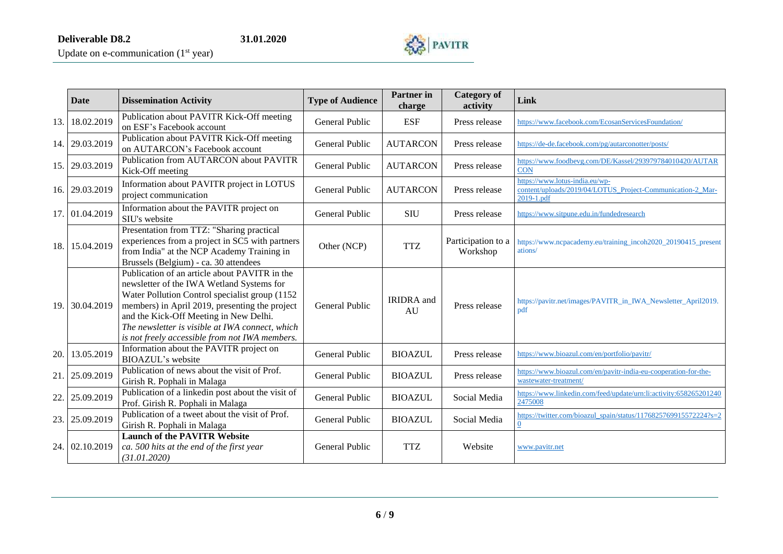

|     | <b>Date</b> | <b>Dissemination Activity</b>                                                                                                                                                                                                                                                                                                                  | <b>Type of Audience</b> | <b>Partner</b> in<br>charge | <b>Category</b> of<br>activity | Link                                                                                                       |
|-----|-------------|------------------------------------------------------------------------------------------------------------------------------------------------------------------------------------------------------------------------------------------------------------------------------------------------------------------------------------------------|-------------------------|-----------------------------|--------------------------------|------------------------------------------------------------------------------------------------------------|
| 13. | 18.02.2019  | Publication about PAVITR Kick-Off meeting<br>on ESF's Facebook account                                                                                                                                                                                                                                                                         | General Public          | <b>ESF</b>                  | Press release                  | https://www.facebook.com/EcosanServicesFoundation/                                                         |
| 14. | 29.03.2019  | Publication about PAVITR Kick-Off meeting<br>on AUTARCON's Facebook account                                                                                                                                                                                                                                                                    | General Public          | <b>AUTARCON</b>             | Press release                  | https://de-de.facebook.com/pg/autarconotter/posts/                                                         |
| 15. | 29.03.2019  | Publication from AUTARCON about PAVITR<br>Kick-Off meeting                                                                                                                                                                                                                                                                                     | General Public          | <b>AUTARCON</b>             | Press release                  | https://www.foodbevg.com/DE/Kassel/293979784010420/AUTAR<br>$\overline{CON}$                               |
| 16. | 29.03.2019  | Information about PAVITR project in LOTUS<br>project communication                                                                                                                                                                                                                                                                             | General Public          | <b>AUTARCON</b>             | Press release                  | https://www.lotus-india.eu/wp-<br>content/uploads/2019/04/LOTUS Project-Communication-2 Mar-<br>2019-1.pdf |
| 17. | 01.04.2019  | Information about the PAVITR project on<br>SIU's website                                                                                                                                                                                                                                                                                       | General Public          | <b>SIU</b>                  | Press release                  | https://www.sitpune.edu.in/fundedresearch                                                                  |
| 18. | 15.04.2019  | Presentation from TTZ: "Sharing practical<br>experiences from a project in SC5 with partners<br>from India" at the NCP Academy Training in<br>Brussels (Belgium) - ca. 30 attendees                                                                                                                                                            | Other (NCP)             | <b>TTZ</b>                  | Participation to a<br>Workshop | https://www.ncpacademy.eu/training_incoh2020_20190415_present<br>ations/                                   |
| 19. | 30.04.2019  | Publication of an article about PAVITR in the<br>newsletter of the IWA Wetland Systems for<br>Water Pollution Control specialist group (1152)<br>members) in April 2019, presenting the project<br>and the Kick-Off Meeting in New Delhi.<br>The newsletter is visible at IWA connect, which<br>is not freely accessible from not IWA members. | General Public          | <b>IRIDRA</b> and<br>AU     | Press release                  | https://pavitr.net/images/PAVITR_in_IWA_Newsletter_April2019.<br>pdf                                       |
| 20. | 13.05.2019  | Information about the PAVITR project on<br><b>BIOAZUL's website</b>                                                                                                                                                                                                                                                                            | General Public          | <b>BIOAZUL</b>              | Press release                  | https://www.bioazul.com/en/portfolio/pavitr/                                                               |
| 21  | 25.09.2019  | Publication of news about the visit of Prof.<br>Girish R. Pophali in Malaga                                                                                                                                                                                                                                                                    | General Public          | <b>BIOAZUL</b>              | Press release                  | https://www.bioazul.com/en/pavitr-india-eu-cooperation-for-the-<br>wastewater-treatment/                   |
| 22  | 25.09.2019  | Publication of a linkedin post about the visit of<br>Prof. Girish R. Pophali in Malaga                                                                                                                                                                                                                                                         | General Public          | <b>BIOAZUL</b>              | Social Media                   | https://www.linkedin.com/feed/update/urn:li:activity:658265201240<br>2475008                               |
| 23. | 25.09.2019  | Publication of a tweet about the visit of Prof.<br>Girish R. Pophali in Malaga                                                                                                                                                                                                                                                                 | General Public          | <b>BIOAZUL</b>              | Social Media                   | https://twitter.com/bioazul_spain/status/1176825769915572224?s=2<br>$\overline{0}$                         |
| 24  | 02.10.2019  | <b>Launch of the PAVITR Website</b><br>ca. 500 hits at the end of the first year<br>(31.01.2020)                                                                                                                                                                                                                                               | General Public          | <b>TTZ</b>                  | Website                        | www.pavitr.net                                                                                             |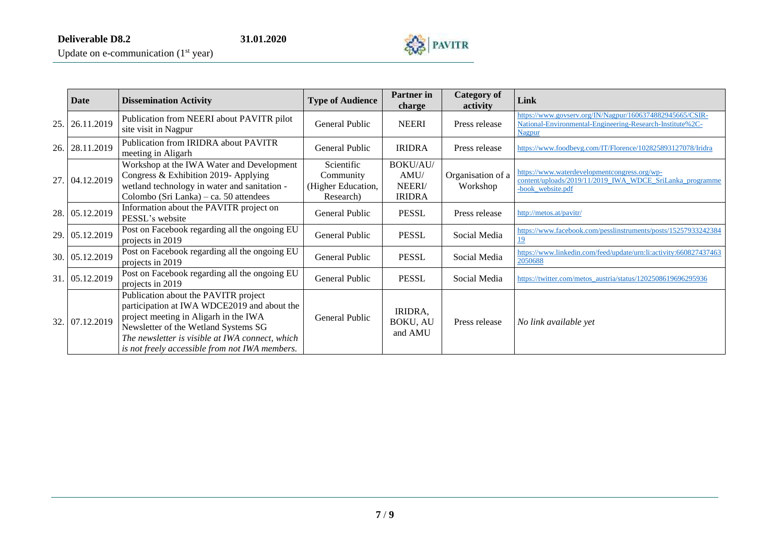

Update on e-communication  $(1<sup>st</sup> year)$ 

|     | Date           | <b>Dissemination Activity</b>                                                                                                                                                                                                                                             | <b>Type of Audience</b>                                    | Partner in<br><b>Category of</b><br>activity<br>charge |                               | Link                                                                                                                            |
|-----|----------------|---------------------------------------------------------------------------------------------------------------------------------------------------------------------------------------------------------------------------------------------------------------------------|------------------------------------------------------------|--------------------------------------------------------|-------------------------------|---------------------------------------------------------------------------------------------------------------------------------|
| 25. | 26.11.2019     | Publication from NEERI about PAVITR pilot<br>site visit in Nagpur                                                                                                                                                                                                         | General Public                                             | <b>NEERI</b>                                           | Press release                 | https://www.govserv.org/IN/Nagpur/1606374882945665/CSIR-<br>National-Environmental-Engineering-Research-Institute%2C-<br>Nagpur |
| 26. | 28.11.2019     | Publication from IRIDRA about PAVITR<br>meeting in Aligarh                                                                                                                                                                                                                | General Public                                             | <b>IRIDRA</b>                                          | Press release                 | https://www.foodbevg.com/IT/Florence/102825893127078/Iridra                                                                     |
|     | 27. 04.12.2019 | Workshop at the IWA Water and Development<br>Congress & Exhibition 2019- Applying<br>wetland technology in water and sanitation -<br>Colombo (Sri Lanka) – ca. 50 attendees                                                                                               | Scientific<br>Community<br>(Higher Education,<br>Research) | BOKU/AU/<br>AMU/<br>NEERI/<br><b>IRIDRA</b>            | Organisation of a<br>Workshop | https://www.waterdevelopmentcongress.org/wp-<br>content/uploads/2019/11/2019_IWA_WDCE_SriLanka_programme<br>-book_website.pdf   |
| 28. | 05.12.2019     | Information about the PAVITR project on<br>PESSL's website                                                                                                                                                                                                                | General Public                                             | <b>PESSL</b>                                           | Press release                 | http://metos.at/pavitr/                                                                                                         |
|     | 29. 05.12.2019 | Post on Facebook regarding all the ongoing EU<br>projects in 2019                                                                                                                                                                                                         | General Public                                             | <b>PESSL</b>                                           | Social Media                  | https://www.facebook.com/pesslinstruments/posts/15257933242384<br>19                                                            |
|     | 30. 05.12.2019 | Post on Facebook regarding all the ongoing EU<br>projects in 2019                                                                                                                                                                                                         | <b>General Public</b>                                      | <b>PESSL</b>                                           | Social Media                  | https://www.linkedin.com/feed/update/urn:li:activity:660827437463<br>2050688                                                    |
|     | 31. 05.12.2019 | Post on Facebook regarding all the ongoing EU<br>projects in 2019                                                                                                                                                                                                         | General Public                                             | <b>PESSL</b>                                           | Social Media                  | https://twitter.com/metos_austria/status/1202508619696295936                                                                    |
|     | 32. 07.12.2019 | Publication about the PAVITR project<br>participation at IWA WDCE2019 and about the<br>project meeting in Aligarh in the IWA<br>Newsletter of the Wetland Systems SG<br>The newsletter is visible at IWA connect, which<br>is not freely accessible from not IWA members. | General Public                                             | IRIDRA,<br>BOKU, AU<br>and AMU                         | Press release                 | No link available yet                                                                                                           |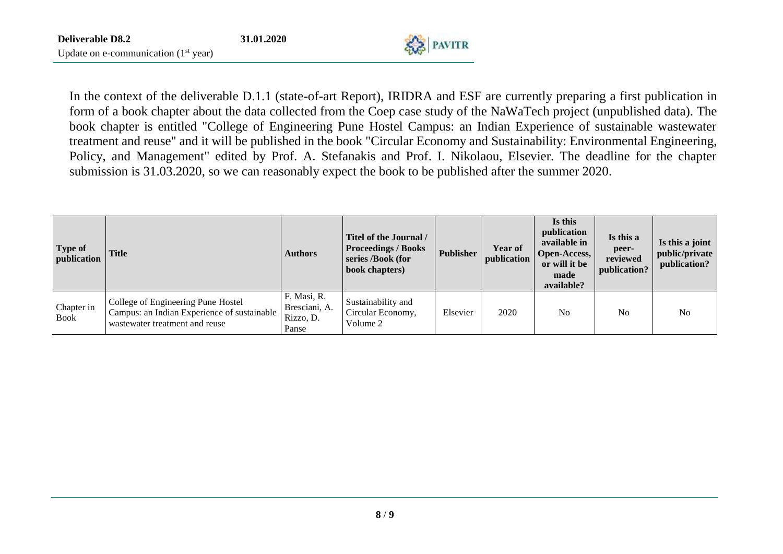

In the context of the deliverable D.1.1 (state-of-art Report), IRIDRA and ESF are currently preparing a first publication in form of a book chapter about the data collected from the Coep case study of the NaWaTech project (unpublished data). The book chapter is entitled "College of Engineering Pune Hostel Campus: an Indian Experience of sustainable wastewater treatment and reuse" and it will be published in the book "Circular Economy and Sustainability: Environmental Engineering, Policy, and Management" edited by Prof. A. Stefanakis and Prof. I. Nikolaou, Elsevier. The deadline for the chapter submission is 31.03.2020, so we can reasonably expect the book to be published after the summer 2020.

| Type of<br>publication    | <b>Title</b>                                                                                                        | <b>Authors</b>                                     | Titel of the Journal /<br><b>Proceedings / Books</b><br>series /Book (for<br>book chapters) | <b>Publisher</b> | <b>Year of</b><br>publication | Is this<br>publication<br>available in<br><b>Open-Access,</b><br>or will it be<br>made<br>available? | Is this a<br>peer-<br>reviewed<br>publication? | Is this a joint<br>public/private<br>publication? |
|---------------------------|---------------------------------------------------------------------------------------------------------------------|----------------------------------------------------|---------------------------------------------------------------------------------------------|------------------|-------------------------------|------------------------------------------------------------------------------------------------------|------------------------------------------------|---------------------------------------------------|
| Chapter in<br><b>Book</b> | College of Engineering Pune Hostel<br>Campus: an Indian Experience of sustainable<br>wastewater treatment and reuse | F. Masi, R.<br>Bresciani, A.<br>Rizzo, D.<br>Panse | Sustainability and<br>Circular Economy,<br>Volume 2                                         | Elsevier         | 2020                          | N <sub>o</sub>                                                                                       | No                                             | N <sub>0</sub>                                    |